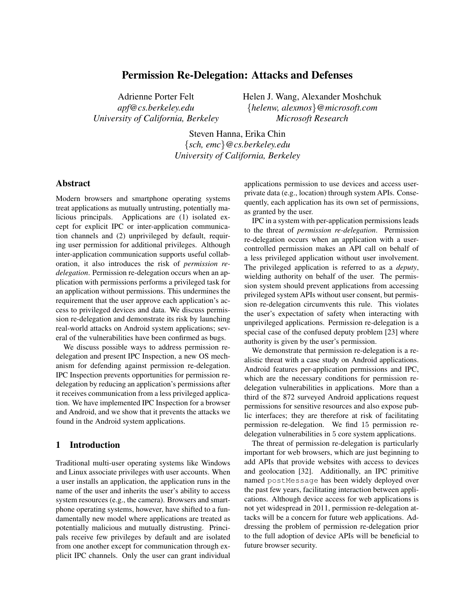# Permission Re-Delegation: Attacks and Defenses

Adrienne Porter Felt *apf@cs.berkeley.edu University of California, Berkeley* Helen J. Wang, Alexander Moshchuk {*helenw, alexmos*}*@microsoft.com Microsoft Research*

Steven Hanna, Erika Chin {*sch, emc*}*@cs.berkeley.edu University of California, Berkeley*

## Abstract

Modern browsers and smartphone operating systems treat applications as mutually untrusting, potentially malicious principals. Applications are (1) isolated except for explicit IPC or inter-application communication channels and (2) unprivileged by default, requiring user permission for additional privileges. Although inter-application communication supports useful collaboration, it also introduces the risk of *permission redelegation*. Permission re-delegation occurs when an application with permissions performs a privileged task for an application without permissions. This undermines the requirement that the user approve each application's access to privileged devices and data. We discuss permission re-delegation and demonstrate its risk by launching real-world attacks on Android system applications; several of the vulnerabilities have been confirmed as bugs.

We discuss possible ways to address permission redelegation and present IPC Inspection, a new OS mechanism for defending against permission re-delegation. IPC Inspection prevents opportunities for permission redelegation by reducing an application's permissions after it receives communication from a less privileged application. We have implemented IPC Inspection for a browser and Android, and we show that it prevents the attacks we found in the Android system applications.

### 1 Introduction

Traditional multi-user operating systems like Windows and Linux associate privileges with user accounts. When a user installs an application, the application runs in the name of the user and inherits the user's ability to access system resources (e.g., the camera). Browsers and smartphone operating systems, however, have shifted to a fundamentally new model where applications are treated as potentially malicious and mutually distrusting. Principals receive few privileges by default and are isolated from one another except for communication through explicit IPC channels. Only the user can grant individual applications permission to use devices and access userprivate data (e.g., location) through system APIs. Consequently, each application has its own set of permissions, as granted by the user.

IPC in a system with per-application permissions leads to the threat of *permission re-delegation*. Permission re-delegation occurs when an application with a usercontrolled permission makes an API call on behalf of a less privileged application without user involvement. The privileged application is referred to as a *deputy*, wielding authority on behalf of the user. The permission system should prevent applications from accessing privileged system APIs without user consent, but permission re-delegation circumvents this rule. This violates the user's expectation of safety when interacting with unprivileged applications. Permission re-delegation is a special case of the confused deputy problem [23] where authority is given by the user's permission.

We demonstrate that permission re-delegation is a realistic threat with a case study on Android applications. Android features per-application permissions and IPC, which are the necessary conditions for permission redelegation vulnerabilities in applications. More than a third of the 872 surveyed Android applications request permissions for sensitive resources and also expose public interfaces; they are therefore at risk of facilitating permission re-delegation. We find 15 permission redelegation vulnerabilities in 5 core system applications.

The threat of permission re-delegation is particularly important for web browsers, which are just beginning to add APIs that provide websites with access to devices and geolocation [32]. Additionally, an IPC primitive named postMessage has been widely deployed over the past few years, facilitating interaction between applications. Although device access for web applications is not yet widespread in 2011, permission re-delegation attacks will be a concern for future web applications. Addressing the problem of permission re-delegation prior to the full adoption of device APIs will be beneficial to future browser security.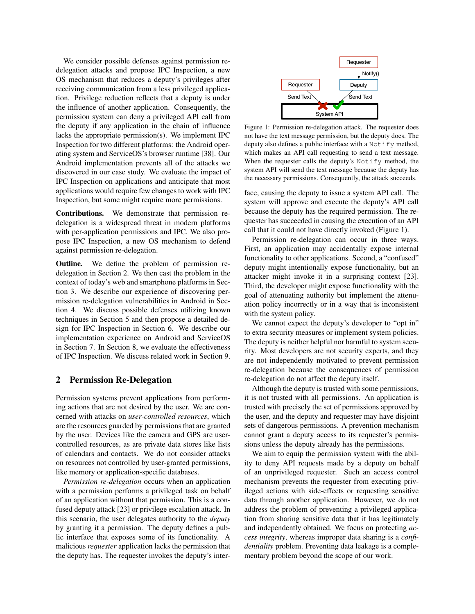We consider possible defenses against permission redelegation attacks and propose IPC Inspection, a new OS mechanism that reduces a deputy's privileges after receiving communication from a less privileged application. Privilege reduction reflects that a deputy is under the influence of another application. Consequently, the permission system can deny a privileged API call from the deputy if any application in the chain of influence lacks the appropriate permission(s). We implement IPC Inspection for two different platforms: the Android operating system and ServiceOS's browser runtime [38]. Our Android implementation prevents all of the attacks we discovered in our case study. We evaluate the impact of IPC Inspection on applications and anticipate that most applications would require few changes to work with IPC Inspection, but some might require more permissions.

Contributions. We demonstrate that permission redelegation is a widespread threat in modern platforms with per-application permissions and IPC. We also propose IPC Inspection, a new OS mechanism to defend against permission re-delegation.

Outline. We define the problem of permission redelegation in Section 2. We then cast the problem in the context of today's web and smartphone platforms in Section 3. We describe our experience of discovering permission re-delegation vulnerabilities in Android in Section 4. We discuss possible defenses utilizing known techniques in Section 5 and then propose a detailed design for IPC Inspection in Section 6. We describe our implementation experience on Android and ServiceOS in Section 7. In Section 8, we evaluate the effectiveness of IPC Inspection. We discuss related work in Section 9.

## 2 Permission Re-Delegation

Permission systems prevent applications from performing actions that are not desired by the user. We are concerned with attacks on *user-controlled resources*, which are the resources guarded by permissions that are granted by the user. Devices like the camera and GPS are usercontrolled resources, as are private data stores like lists of calendars and contacts. We do not consider attacks on resources not controlled by user-granted permissions, like memory or application-specific databases.

*Permission re-delegation* occurs when an application with a permission performs a privileged task on behalf of an application without that permission. This is a confused deputy attack [23] or privilege escalation attack. In this scenario, the user delegates authority to the *deputy* by granting it a permission. The deputy defines a public interface that exposes some of its functionality. A malicious *requester* application lacks the permission that the deputy has. The requester invokes the deputy's inter-



Figure 1: Permission re-delegation attack. The requester does not have the text message permission, but the deputy does. The deputy also defines a public interface with a Notify method, which makes an API call requesting to send a text message. When the requester calls the deputy's Notify method, the system API will send the text message because the deputy has the necessary permissions. Consequently, the attack succeeds.

face, causing the deputy to issue a system API call. The system will approve and execute the deputy's API call because the deputy has the required permission. The requester has succeeded in causing the execution of an API call that it could not have directly invoked (Figure 1).

Permission re-delegation can occur in three ways. First, an application may accidentally expose internal functionality to other applications. Second, a "confused" deputy might intentionally expose functionality, but an attacker might invoke it in a surprising context [23]. Third, the developer might expose functionality with the goal of attenuating authority but implement the attenuation policy incorrectly or in a way that is inconsistent with the system policy.

We cannot expect the deputy's developer to "opt in" to extra security measures or implement system policies. The deputy is neither helpful nor harmful to system security. Most developers are not security experts, and they are not independently motivated to prevent permission re-delegation because the consequences of permission re-delegation do not affect the deputy itself.

Although the deputy is trusted with some permissions, it is not trusted with all permissions. An application is trusted with precisely the set of permissions approved by the user, and the deputy and requester may have disjoint sets of dangerous permissions. A prevention mechanism cannot grant a deputy access to its requester's permissions unless the deputy already has the permissions.

We aim to equip the permission system with the ability to deny API requests made by a deputy on behalf of an unprivileged requester. Such an access control mechanism prevents the requester from executing privileged actions with side-effects or requesting sensitive data through another application. However, we do not address the problem of preventing a privileged application from sharing sensitive data that it has legitimately and independently obtained. We focus on protecting *access integrity*, whereas improper data sharing is a *confidentiality* problem. Preventing data leakage is a complementary problem beyond the scope of our work.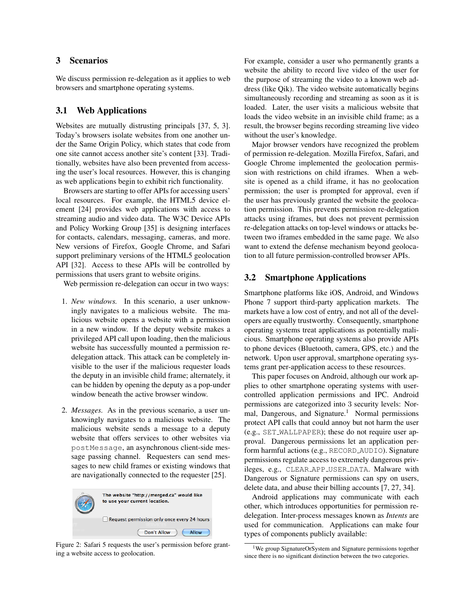## 3 Scenarios

We discuss permission re-delegation as it applies to web browsers and smartphone operating systems.

### 3.1 Web Applications

Websites are mutually distrusting principals [37, 5, 3]. Today's browsers isolate websites from one another under the Same Origin Policy, which states that code from one site cannot access another site's content [33]. Traditionally, websites have also been prevented from accessing the user's local resources. However, this is changing as web applications begin to exhibit rich functionality.

Browsers are starting to offer APIs for accessing users' local resources. For example, the HTML5 device element [24] provides web applications with access to streaming audio and video data. The W3C Device APIs and Policy Working Group [35] is designing interfaces for contacts, calendars, messaging, cameras, and more. New versions of Firefox, Google Chrome, and Safari support preliminary versions of the HTML5 geolocation API [32]. Access to these APIs will be controlled by permissions that users grant to website origins.

Web permission re-delegation can occur in two ways:

- 1. *New windows.* In this scenario, a user unknowingly navigates to a malicious website. The malicious website opens a website with a permission in a new window. If the deputy website makes a privileged API call upon loading, then the malicious website has successfully mounted a permission redelegation attack. This attack can be completely invisible to the user if the malicious requester loads the deputy in an invisible child frame; alternately, it can be hidden by opening the deputy as a pop-under window beneath the active browser window.
- 2. *Messages.* As in the previous scenario, a user unknowingly navigates to a malicious website. The malicious website sends a message to a deputy website that offers services to other websites via postMessage, an asynchronous client-side message passing channel. Requesters can send messages to new child frames or existing windows that are navigationally connected to the requester [25].



Figure 2: Safari 5 requests the user's permission before granting a website access to geolocation.

For example, consider a user who permanently grants a website the ability to record live video of the user for the purpose of streaming the video to a known web address (like Qik). The video website automatically begins simultaneously recording and streaming as soon as it is loaded. Later, the user visits a malicious website that loads the video website in an invisible child frame; as a result, the browser begins recording streaming live video without the user's knowledge.

Major browser vendors have recognized the problem of permission re-delegation. Mozilla Firefox, Safari, and Google Chrome implemented the geolocation permission with restrictions on child iframes. When a website is opened as a child iframe, it has no geolocation permission; the user is prompted for approval, even if the user has previously granted the website the geolocation permission. This prevents permission re-delegation attacks using iframes, but does not prevent permission re-delegation attacks on top-level windows or attacks between two iframes embedded in the same page. We also want to extend the defense mechanism beyond geolocation to all future permission-controlled browser APIs.

#### 3.2 Smartphone Applications

Smartphone platforms like iOS, Android, and Windows Phone 7 support third-party application markets. The markets have a low cost of entry, and not all of the developers are equally trustworthy. Consequently, smartphone operating systems treat applications as potentially malicious. Smartphone operating systems also provide APIs to phone devices (Bluetooth, camera, GPS, etc.) and the network. Upon user approval, smartphone operating systems grant per-application access to these resources.

This paper focuses on Android, although our work applies to other smartphone operating systems with usercontrolled application permissions and IPC. Android permissions are categorized into 3 security levels: Normal, Dangerous, and Signature.<sup>1</sup> Normal permissions protect API calls that could annoy but not harm the user (e.g., SET WALLPAPER); these do not require user approval. Dangerous permissions let an application perform harmful actions (e.g., RECORD AUDIO). Signature permissions regulate access to extremely dangerous privileges, e.g., CLEAR APP USER DATA. Malware with Dangerous or Signature permissions can spy on users, delete data, and abuse their billing accounts [7, 27, 34].

Android applications may communicate with each other, which introduces opportunities for permission redelegation. Inter-process messages known as *Intents* are used for communication. Applications can make four types of components publicly available:

<sup>&</sup>lt;sup>1</sup>We group SignatureOrSystem and Signature permissions together since there is no significant distinction between the two categories.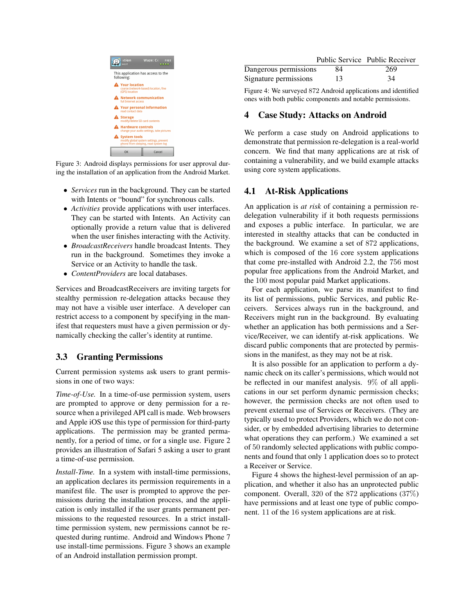

Figure 3: Android displays permissions for user approval during the installation of an application from the Android Market.

- *Services* run in the background. They can be started with Intents or "bound" for synchronous calls.
- *Activities* provide applications with user interfaces. They can be started with Intents. An Activity can optionally provide a return value that is delivered when the user finishes interacting with the Activity.
- *BroadcastReceivers* handle broadcast Intents. They run in the background. Sometimes they invoke a Service or an Activity to handle the task.
- *ContentProviders* are local databases.

Services and BroadcastReceivers are inviting targets for stealthy permission re-delegation attacks because they may not have a visible user interface. A developer can restrict access to a component by specifying in the manifest that requesters must have a given permission or dynamically checking the caller's identity at runtime.

## 3.3 Granting Permissions

Current permission systems ask users to grant permissions in one of two ways:

*Time-of-Use.* In a time-of-use permission system, users are prompted to approve or deny permission for a resource when a privileged API call is made. Web browsers and Apple iOS use this type of permission for third-party applications. The permission may be granted permanently, for a period of time, or for a single use. Figure 2 provides an illustration of Safari 5 asking a user to grant a time-of-use permission.

*Install-Time.* In a system with install-time permissions, an application declares its permission requirements in a manifest file. The user is prompted to approve the permissions during the installation process, and the application is only installed if the user grants permanent permissions to the requested resources. In a strict installtime permission system, new permissions cannot be requested during runtime. Android and Windows Phone 7 use install-time permissions. Figure 3 shows an example of an Android installation permission prompt.

|                       |    | Public Service Public Receiver |
|-----------------------|----|--------------------------------|
| Dangerous permissions | 84 | 269                            |
| Signature permissions | 13 | 34                             |

Figure 4: We surveyed 872 Android applications and identified ones with both public components and notable permissions.

### 4 Case Study: Attacks on Android

We perform a case study on Android applications to demonstrate that permission re-delegation is a real-world concern. We find that many applications are at risk of containing a vulnerability, and we build example attacks using core system applications.

### 4.1 At-Risk Applications

An application is *at risk* of containing a permission redelegation vulnerability if it both requests permissions and exposes a public interface. In particular, we are interested in stealthy attacks that can be conducted in the background. We examine a set of 872 applications, which is composed of the 16 core system applications that come pre-installed with Android 2.2, the 756 most popular free applications from the Android Market, and the 100 most popular paid Market applications.

For each application, we parse its manifest to find its list of permissions, public Services, and public Receivers. Services always run in the background, and Receivers might run in the background. By evaluating whether an application has both permissions and a Service/Receiver, we can identify at-risk applications. We discard public components that are protected by permissions in the manifest, as they may not be at risk.

It is also possible for an application to perform a dynamic check on its caller's permissions, which would not be reflected in our manifest analysis. 9% of all applications in our set perform dynamic permission checks; however, the permission checks are not often used to prevent external use of Services or Receivers. (They are typically used to protect Providers, which we do not consider, or by embedded advertising libraries to determine what operations they can perform.) We examined a set of 50 randomly selected applications with public components and found that only 1 application does so to protect a Receiver or Service.

Figure 4 shows the highest-level permission of an application, and whether it also has an unprotected public component. Overall, 320 of the 872 applications (37%) have permissions and at least one type of public component. 11 of the 16 system applications are at risk.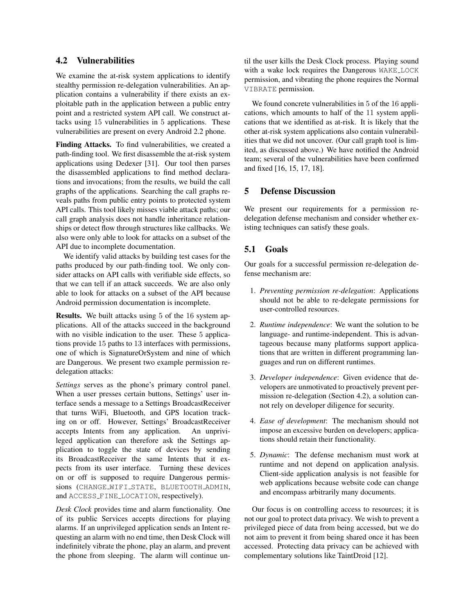### 4.2 Vulnerabilities

We examine the at-risk system applications to identify stealthy permission re-delegation vulnerabilities. An application contains a vulnerability if there exists an exploitable path in the application between a public entry point and a restricted system API call. We construct attacks using 15 vulnerabilities in 5 applications. These vulnerabilities are present on every Android 2.2 phone.

Finding Attacks. To find vulnerabilities, we created a path-finding tool. We first disassemble the at-risk system applications using Dedexer [31]. Our tool then parses the disassembled applications to find method declarations and invocations; from the results, we build the call graphs of the applications. Searching the call graphs reveals paths from public entry points to protected system API calls. This tool likely misses viable attack paths; our call graph analysis does not handle inheritance relationships or detect flow through structures like callbacks. We also were only able to look for attacks on a subset of the API due to incomplete documentation.

We identify valid attacks by building test cases for the paths produced by our path-finding tool. We only consider attacks on API calls with verifiable side effects, so that we can tell if an attack succeeds. We are also only able to look for attacks on a subset of the API because Android permission documentation is incomplete.

Results. We built attacks using 5 of the 16 system applications. All of the attacks succeed in the background with no visible indication to the user. These 5 applications provide 15 paths to 13 interfaces with permissions, one of which is SignatureOrSystem and nine of which are Dangerous. We present two example permission redelegation attacks:

*Settings* serves as the phone's primary control panel. When a user presses certain buttons, Settings' user interface sends a message to a Settings BroadcastReceiver that turns WiFi, Bluetooth, and GPS location tracking on or off. However, Settings' BroadcastReceiver accepts Intents from any application. An unprivileged application can therefore ask the Settings application to toggle the state of devices by sending its BroadcastReceiver the same Intents that it expects from its user interface. Turning these devices on or off is supposed to require Dangerous permissions (CHANGE WIFI STATE, BLUETOOTH ADMIN, and ACCESS FINE LOCATION, respectively).

*Desk Clock* provides time and alarm functionality. One of its public Services accepts directions for playing alarms. If an unprivileged application sends an Intent requesting an alarm with no end time, then Desk Clock will indefinitely vibrate the phone, play an alarm, and prevent the phone from sleeping. The alarm will continue until the user kills the Desk Clock process. Playing sound with a wake lock requires the Dangerous WAKE LOCK permission, and vibrating the phone requires the Normal VIBRATE permission.

We found concrete vulnerabilities in 5 of the 16 applications, which amounts to half of the 11 system applications that we identified as at-risk. It is likely that the other at-risk system applications also contain vulnerabilities that we did not uncover. (Our call graph tool is limited, as discussed above.) We have notified the Android team; several of the vulnerabilities have been confirmed and fixed [16, 15, 17, 18].

### 5 Defense Discussion

We present our requirements for a permission redelegation defense mechanism and consider whether existing techniques can satisfy these goals.

## 5.1 Goals

Our goals for a successful permission re-delegation defense mechanism are:

- 1. *Preventing permission re-delegation*: Applications should not be able to re-delegate permissions for user-controlled resources.
- 2. *Runtime independence*: We want the solution to be language- and runtime-independent. This is advantageous because many platforms support applications that are written in different programming languages and run on different runtimes.
- 3. *Developer independence*: Given evidence that developers are unmotivated to proactively prevent permission re-delegation (Section 4.2), a solution cannot rely on developer diligence for security.
- 4. *Ease of development*: The mechanism should not impose an excessive burden on developers; applications should retain their functionality.
- 5. *Dynamic*: The defense mechanism must work at runtime and not depend on application analysis. Client-side application analysis is not feasible for web applications because website code can change and encompass arbitrarily many documents.

Our focus is on controlling access to resources; it is not our goal to protect data privacy. We wish to prevent a privileged piece of data from being accessed, but we do not aim to prevent it from being shared once it has been accessed. Protecting data privacy can be achieved with complementary solutions like TaintDroid [12].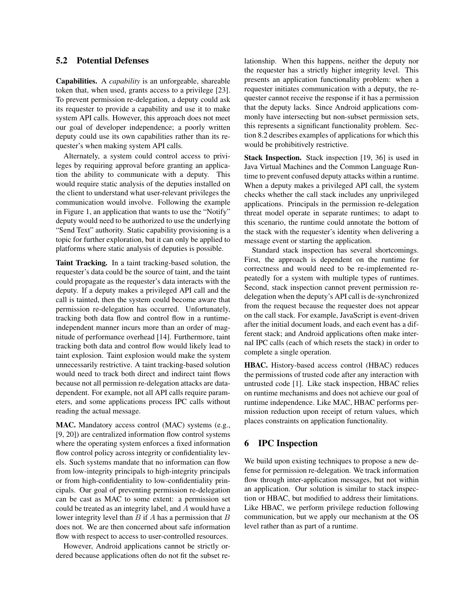## 5.2 Potential Defenses

Capabilities. A *capability* is an unforgeable, shareable token that, when used, grants access to a privilege [23]. To prevent permission re-delegation, a deputy could ask its requester to provide a capability and use it to make system API calls. However, this approach does not meet our goal of developer independence; a poorly written deputy could use its own capabilities rather than its requester's when making system API calls.

Alternately, a system could control access to privileges by requiring approval before granting an application the ability to communicate with a deputy. This would require static analysis of the deputies installed on the client to understand what user-relevant privileges the communication would involve. Following the example in Figure 1, an application that wants to use the "Notify" deputy would need to be authorized to use the underlying "Send Text" authority. Static capability provisioning is a topic for further exploration, but it can only be applied to platforms where static analysis of deputies is possible.

Taint Tracking. In a taint tracking-based solution, the requester's data could be the source of taint, and the taint could propagate as the requester's data interacts with the deputy. If a deputy makes a privileged API call and the call is tainted, then the system could become aware that permission re-delegation has occurred. Unfortunately, tracking both data flow and control flow in a runtimeindependent manner incurs more than an order of magnitude of performance overhead [14]. Furthermore, taint tracking both data and control flow would likely lead to taint explosion. Taint explosion would make the system unnecessarily restrictive. A taint tracking-based solution would need to track both direct and indirect taint flows because not all permission re-delegation attacks are datadependent. For example, not all API calls require parameters, and some applications process IPC calls without reading the actual message.

MAC. Mandatory access control (MAC) systems (e.g., [9, 20]) are centralized information flow control systems where the operating system enforces a fixed information flow control policy across integrity or confidentiality levels. Such systems mandate that no information can flow from low-integrity principals to high-integrity principals or from high-confidentiality to low-confidentiality principals. Our goal of preventing permission re-delegation can be cast as MAC to some extent: a permission set could be treated as an integrity label, and A would have a lower integrity level than  $B$  if  $A$  has a permission that  $B$ does not. We are then concerned about safe information flow with respect to access to user-controlled resources.

However, Android applications cannot be strictly ordered because applications often do not fit the subset relationship. When this happens, neither the deputy nor the requester has a strictly higher integrity level. This presents an application functionality problem: when a requester initiates communication with a deputy, the requester cannot receive the response if it has a permission that the deputy lacks. Since Android applications commonly have intersecting but non-subset permission sets, this represents a significant functionality problem. Section 8.2 describes examples of applications for which this would be prohibitively restrictive.

Stack Inspection. Stack inspection [19, 36] is used in Java Virtual Machines and the Common Language Runtime to prevent confused deputy attacks within a runtime. When a deputy makes a privileged API call, the system checks whether the call stack includes any unprivileged applications. Principals in the permission re-delegation threat model operate in separate runtimes; to adapt to this scenario, the runtime could annotate the bottom of the stack with the requester's identity when delivering a message event or starting the application.

Standard stack inspection has several shortcomings. First, the approach is dependent on the runtime for correctness and would need to be re-implemented repeatedly for a system with multiple types of runtimes. Second, stack inspection cannot prevent permission redelegation when the deputy's API call is de-synchronized from the request because the requester does not appear on the call stack. For example, JavaScript is event-driven after the initial document loads, and each event has a different stack; and Android applications often make internal IPC calls (each of which resets the stack) in order to complete a single operation.

HBAC. History-based access control (HBAC) reduces the permissions of trusted code after any interaction with untrusted code [1]. Like stack inspection, HBAC relies on runtime mechanisms and does not achieve our goal of runtime independence. Like MAC, HBAC performs permission reduction upon receipt of return values, which places constraints on application functionality.

### 6 IPC Inspection

We build upon existing techniques to propose a new defense for permission re-delegation. We track information flow through inter-application messages, but not within an application. Our solution is similar to stack inspection or HBAC, but modified to address their limitations. Like HBAC, we perform privilege reduction following communication, but we apply our mechanism at the OS level rather than as part of a runtime.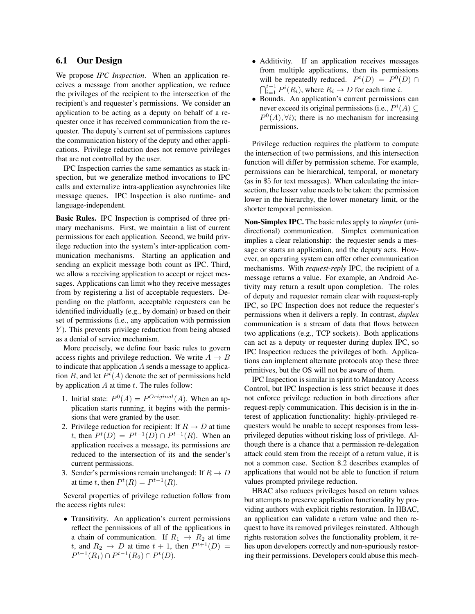### 6.1 Our Design

We propose *IPC Inspection*. When an application receives a message from another application, we reduce the privileges of the recipient to the intersection of the recipient's and requester's permissions. We consider an application to be acting as a deputy on behalf of a requester once it has received communication from the requester. The deputy's current set of permissions captures the communication history of the deputy and other applications. Privilege reduction does not remove privileges that are not controlled by the user.

IPC Inspection carries the same semantics as stack inspection, but we generalize method invocations to IPC calls and externalize intra-application asynchronies like message queues. IPC Inspection is also runtime- and language-independent.

Basic Rules. IPC Inspection is comprised of three primary mechanisms. First, we maintain a list of current permissions for each application. Second, we build privilege reduction into the system's inter-application communication mechanisms. Starting an application and sending an explicit message both count as IPC. Third, we allow a receiving application to accept or reject messages. Applications can limit who they receive messages from by registering a list of acceptable requesters. Depending on the platform, acceptable requesters can be identified individually (e.g., by domain) or based on their set of permissions (i.e., any application with permission  $Y$ ). This prevents privilege reduction from being abused as a denial of service mechanism.

More precisely, we define four basic rules to govern access rights and privilege reduction. We write  $A \rightarrow B$ to indicate that application  $A$  sends a message to application B, and let  $P^t(A)$  denote the set of permissions held by application  $A$  at time  $t$ . The rules follow:

- 1. Initial state:  $P^{0}(A) = P^{Original}(A)$ . When an application starts running, it begins with the permissions that were granted by the user.
- 2. Privilege reduction for recipient: If  $R \to D$  at time t, then  $P^t(D) = P^{t-1}(D) \cap P^{t-1}(R)$ . When an application receives a message, its permissions are reduced to the intersection of its and the sender's current permissions.
- 3. Sender's permissions remain unchanged: If  $R \to D$ at time t, then  $P^t(R) = P^{t-1}(R)$ .

Several properties of privilege reduction follow from the access rights rules:

• Transitivity. An application's current permissions reflect the permissions of all of the applications in a chain of communication. If  $R_1 \rightarrow R_2$  at time t, and  $R_2 \rightarrow D$  at time  $t + 1$ , then  $P^{t+1}(D) =$  $P^{t-1}(R_1) \cap P^{t-1}(R_2) \cap P^{t}(D).$ 

- Additivity. If an application receives messages from multiple applications, then its permissions will be repeatedly reduced.  $P^t(D) = P^0(D) \cap$  $\bigcap_{i=1}^{t-1} P^i(R_i)$ , where  $R_i \to D$  for each time *i*.
- Bounds. An application's current permissions can never exceed its original permissions (i.e.,  $P^{i}(A) \subseteq$  $P^{0}(A), \forall i$ ; there is no mechanism for increasing permissions.

Privilege reduction requires the platform to compute the intersection of two permissions, and this intersection function will differ by permission scheme. For example, permissions can be hierarchical, temporal, or monetary (as in \$5 for text messages). When calculating the intersection, the lesser value needs to be taken: the permission lower in the hierarchy, the lower monetary limit, or the shorter temporal permission.

Non-Simplex IPC. The basic rules apply to *simplex* (unidirectional) communication. Simplex communication implies a clear relationship: the requester sends a message or starts an application, and the deputy acts. However, an operating system can offer other communication mechanisms. With *request-reply* IPC, the recipient of a message returns a value. For example, an Android Activity may return a result upon completion. The roles of deputy and requester remain clear with request-reply IPC, so IPC Inspection does not reduce the requester's permissions when it delivers a reply. In contrast, *duplex* communication is a stream of data that flows between two applications (e.g., TCP sockets). Both applications can act as a deputy or requester during duplex IPC, so IPC Inspection reduces the privileges of both. Applications can implement alternate protocols atop these three primitives, but the OS will not be aware of them.

IPC Inspection is similar in spirit to Mandatory Access Control, but IPC Inspection is less strict because it does not enforce privilege reduction in both directions after request-reply communication. This decision is in the interest of application functionality: highly-privileged requesters would be unable to accept responses from lessprivileged deputies without risking loss of privilege. Although there is a chance that a permission re-delegation attack could stem from the receipt of a return value, it is not a common case. Section 8.2 describes examples of applications that would not be able to function if return values prompted privilege reduction.

HBAC also reduces privileges based on return values but attempts to preserve application functionality by providing authors with explicit rights restoration. In HBAC, an application can validate a return value and then request to have its removed privileges reinstated. Although rights restoration solves the functionality problem, it relies upon developers correctly and non-spuriously restoring their permissions. Developers could abuse this mech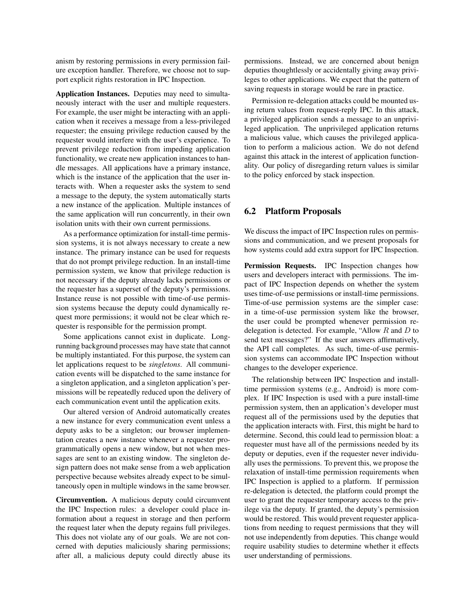anism by restoring permissions in every permission failure exception handler. Therefore, we choose not to support explicit rights restoration in IPC Inspection.

Application Instances. Deputies may need to simultaneously interact with the user and multiple requesters. For example, the user might be interacting with an application when it receives a message from a less-privileged requester; the ensuing privilege reduction caused by the requester would interfere with the user's experience. To prevent privilege reduction from impeding application functionality, we create new application instances to handle messages. All applications have a primary instance, which is the instance of the application that the user interacts with. When a requester asks the system to send a message to the deputy, the system automatically starts a new instance of the application. Multiple instances of the same application will run concurrently, in their own isolation units with their own current permissions.

As a performance optimization for install-time permission systems, it is not always necessary to create a new instance. The primary instance can be used for requests that do not prompt privilege reduction. In an install-time permission system, we know that privilege reduction is not necessary if the deputy already lacks permissions or the requester has a superset of the deputy's permissions. Instance reuse is not possible with time-of-use permission systems because the deputy could dynamically request more permissions; it would not be clear which requester is responsible for the permission prompt.

Some applications cannot exist in duplicate. Longrunning background processes may have state that cannot be multiply instantiated. For this purpose, the system can let applications request to be *singletons*. All communication events will be dispatched to the same instance for a singleton application, and a singleton application's permissions will be repeatedly reduced upon the delivery of each communication event until the application exits.

Our altered version of Android automatically creates a new instance for every communication event unless a deputy asks to be a singleton; our browser implementation creates a new instance whenever a requester programmatically opens a new window, but not when messages are sent to an existing window. The singleton design pattern does not make sense from a web application perspective because websites already expect to be simultaneously open in multiple windows in the same browser.

Circumvention. A malicious deputy could circumvent the IPC Inspection rules: a developer could place information about a request in storage and then perform the request later when the deputy regains full privileges. This does not violate any of our goals. We are not concerned with deputies maliciously sharing permissions; after all, a malicious deputy could directly abuse its permissions. Instead, we are concerned about benign deputies thoughtlessly or accidentally giving away privileges to other applications. We expect that the pattern of saving requests in storage would be rare in practice.

Permission re-delegation attacks could be mounted using return values from request-reply IPC. In this attack, a privileged application sends a message to an unprivileged application. The unprivileged application returns a malicious value, which causes the privileged application to perform a malicious action. We do not defend against this attack in the interest of application functionality. Our policy of disregarding return values is similar to the policy enforced by stack inspection.

#### 6.2 Platform Proposals

We discuss the impact of IPC Inspection rules on permissions and communication, and we present proposals for how systems could add extra support for IPC Inspection.

Permission Requests. IPC Inspection changes how users and developers interact with permissions. The impact of IPC Inspection depends on whether the system uses time-of-use permissions or install-time permissions. Time-of-use permission systems are the simpler case: in a time-of-use permission system like the browser, the user could be prompted whenever permission redelegation is detected. For example, "Allow  $R$  and  $D$  to send text messages?" If the user answers affirmatively, the API call completes. As such, time-of-use permission systems can accommodate IPC Inspection without changes to the developer experience.

The relationship between IPC Inspection and installtime permission systems (e.g., Android) is more complex. If IPC Inspection is used with a pure install-time permission system, then an application's developer must request all of the permissions used by the deputies that the application interacts with. First, this might be hard to determine. Second, this could lead to permission bloat: a requester must have all of the permissions needed by its deputy or deputies, even if the requester never individually uses the permissions. To prevent this, we propose the relaxation of install-time permission requirements when IPC Inspection is applied to a platform. If permission re-delegation is detected, the platform could prompt the user to grant the requester temporary access to the privilege via the deputy. If granted, the deputy's permission would be restored. This would prevent requester applications from needing to request permissions that they will not use independently from deputies. This change would require usability studies to determine whether it effects user understanding of permissions.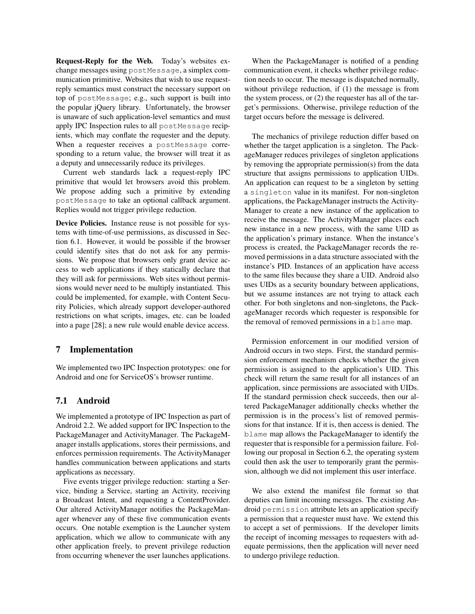Request-Reply for the Web. Today's websites exchange messages using postMessage, a simplex communication primitive. Websites that wish to use requestreply semantics must construct the necessary support on top of postMessage; e.g., such support is built into the popular jQuery library. Unfortunately, the browser is unaware of such application-level semantics and must apply IPC Inspection rules to all postMessage recipients, which may conflate the requester and the deputy. When a requester receives a postMessage corresponding to a return value, the browser will treat it as a deputy and unnecessarily reduce its privileges.

Current web standards lack a request-reply IPC primitive that would let browsers avoid this problem. We propose adding such a primitive by extending postMessage to take an optional callback argument. Replies would not trigger privilege reduction.

Device Policies. Instance reuse is not possible for systems with time-of-use permissions, as discussed in Section 6.1. However, it would be possible if the browser could identify sites that do not ask for any permissions. We propose that browsers only grant device access to web applications if they statically declare that they will ask for permissions. Web sites without permissions would never need to be multiply instantiated. This could be implemented, for example, with Content Security Policies, which already support developer-authored restrictions on what scripts, images, etc. can be loaded into a page [28]; a new rule would enable device access.

### 7 Implementation

We implemented two IPC Inspection prototypes: one for Android and one for ServiceOS's browser runtime.

## 7.1 Android

We implemented a prototype of IPC Inspection as part of Android 2.2. We added support for IPC Inspection to the PackageManager and ActivityManager. The PackageManager installs applications, stores their permissions, and enforces permission requirements. The ActivityManager handles communication between applications and starts applications as necessary.

Five events trigger privilege reduction: starting a Service, binding a Service, starting an Activity, receiving a Broadcast Intent, and requesting a ContentProvider. Our altered ActivityManager notifies the PackageManager whenever any of these five communication events occurs. One notable exemption is the Launcher system application, which we allow to communicate with any other application freely, to prevent privilege reduction from occurring whenever the user launches applications.

When the PackageManager is notified of a pending communication event, it checks whether privilege reduction needs to occur. The message is dispatched normally, without privilege reduction, if (1) the message is from the system process, or (2) the requester has all of the target's permissions. Otherwise, privilege reduction of the target occurs before the message is delivered.

The mechanics of privilege reduction differ based on whether the target application is a singleton. The PackageManager reduces privileges of singleton applications by removing the appropriate permission(s) from the data structure that assigns permissions to application UIDs. An application can request to be a singleton by setting a singleton value in its manifest. For non-singleton applications, the PackageManager instructs the Activity-Manager to create a new instance of the application to receive the message. The ActivityManager places each new instance in a new process, with the same UID as the application's primary instance. When the instance's process is created, the PackageManager records the removed permissions in a data structure associated with the instance's PID. Instances of an application have access to the same files because they share a UID. Android also uses UIDs as a security boundary between applications, but we assume instances are not trying to attack each other. For both singletons and non-singletons, the PackageManager records which requester is responsible for the removal of removed permissions in a blame map.

Permission enforcement in our modified version of Android occurs in two steps. First, the standard permission enforcement mechanism checks whether the given permission is assigned to the application's UID. This check will return the same result for all instances of an application, since permissions are associated with UIDs. If the standard permission check succeeds, then our altered PackageManager additionally checks whether the permission is in the process's list of removed permissions for that instance. If it is, then access is denied. The blame map allows the PackageManager to identify the requester that is responsible for a permission failure. Following our proposal in Section 6.2, the operating system could then ask the user to temporarily grant the permission, although we did not implement this user interface.

We also extend the manifest file format so that deputies can limit incoming messages. The existing Android permission attribute lets an application specify a permission that a requester must have. We extend this to accept a set of permissions. If the developer limits the receipt of incoming messages to requesters with adequate permissions, then the application will never need to undergo privilege reduction.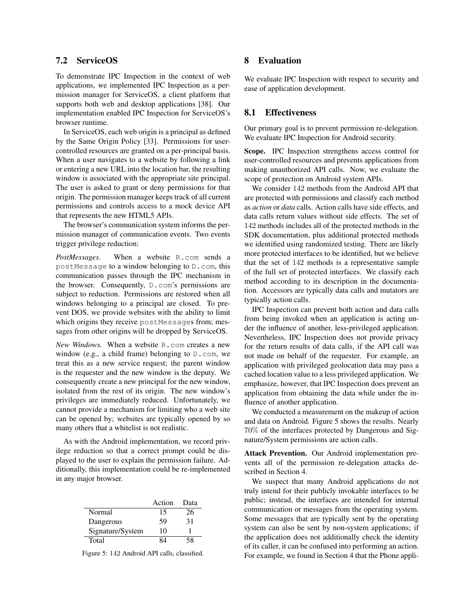### 7.2 ServiceOS

To demonstrate IPC Inspection in the context of web applications, we implemented IPC Inspection as a permission manager for ServiceOS, a client platform that supports both web and desktop applications [38]. Our implementation enabled IPC Inspection for ServiceOS's browser runtime.

In ServiceOS, each web origin is a principal as defined by the Same Origin Policy [33]. Permissions for usercontrolled resources are granted on a per-principal basis. When a user navigates to a website by following a link or entering a new URL into the location bar, the resulting window is associated with the appropriate site principal. The user is asked to grant or deny permissions for that origin. The permission manager keeps track of all current permissions and controls access to a mock device API that represents the new HTML5 APIs.

The browser's communication system informs the permission manager of communication events. Two events trigger privilege reduction:

*PostMessages.* When a website R.com sends a postMessage to a window belonging to D.com, this communication passes through the IPC mechanism in the browser. Consequently, D.com's permissions are subject to reduction. Permissions are restored when all windows belonging to a principal are closed. To prevent DOS, we provide websites with the ability to limit which origins they receive postMessages from; messages from other origins will be dropped by ServiceOS.

*New Windows.* When a website R.com creates a new window (e.g., a child frame) belonging to D.com, we treat this as a new service request; the parent window is the requester and the new window is the deputy. We consequently create a new principal for the new window, isolated from the rest of its origin. The new window's privileges are immediately reduced. Unfortunately, we cannot provide a mechanism for limiting who a web site can be opened by; websites are typically opened by so many others that a whitelist is not realistic.

As with the Android implementation, we record privilege reduction so that a correct prompt could be displayed to the user to explain the permission failure. Additionally, this implementation could be re-implemented in any major browser.

|                  | Action | Data |
|------------------|--------|------|
| Normal           | 15     | 26   |
| Dangerous        | 59     | 31   |
| Signature/System | 10     |      |
| Total            |        | 58   |

Figure 5: 142 Android API calls, classified.

## 8 Evaluation

We evaluate IPC Inspection with respect to security and ease of application development.

### 8.1 Effectiveness

Our primary goal is to prevent permission re-delegation. We evaluate IPC Inspection for Android security.

Scope. IPC Inspection strengthens access control for user-controlled resources and prevents applications from making unauthorized API calls. Now, we evaluate the scope of protection on Android system APIs.

We consider 142 methods from the Android API that are protected with permissions and classify each method as *action* or *data* calls. Action calls have side effects, and data calls return values without side effects. The set of 142 methods includes all of the protected methods in the SDK documentation, plus additional protected methods we identified using randomized testing. There are likely more protected interfaces to be identified, but we believe that the set of 142 methods is a representative sample of the full set of protected interfaces. We classify each method according to its description in the documentation. Accessors are typically data calls and mutators are typically action calls.

IPC Inspection can prevent both action and data calls from being invoked when an application is acting under the influence of another, less-privileged application. Nevertheless, IPC Inspection does not provide privacy for the return results of data calls, if the API call was not made on behalf of the requester. For example, an application with privileged geolocation data may pass a cached location value to a less privileged application. We emphasize, however, that IPC Inspection does prevent an application from obtaining the data while under the influence of another application.

We conducted a measurement on the makeup of action and data on Android. Figure 5 shows the results. Nearly 70% of the interfaces protected by Dangerous and Signature/System permissions are action calls.

Attack Prevention. Our Android implementation prevents all of the permission re-delegation attacks described in Section 4.

We suspect that many Android applications do not truly intend for their publicly invokable interfaces to be public; instead, the interfaces are intended for internal communication or messages from the operating system. Some messages that are typically sent by the operating system can also be sent by non-system applications; if the application does not additionally check the identity of its caller, it can be confused into performing an action. For example, we found in Section 4 that the Phone appli-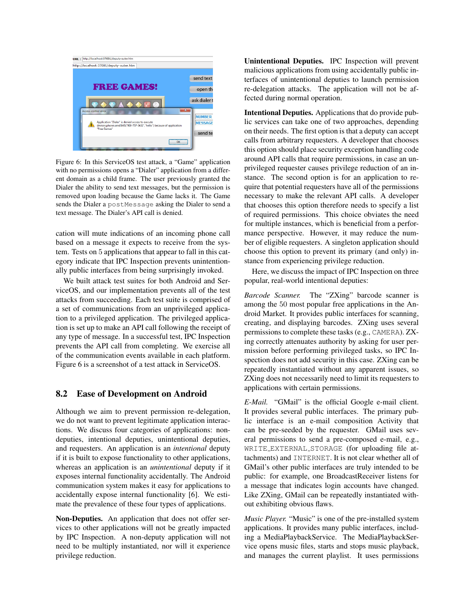

Figure 6: In this ServiceOS test attack, a "Game" application with no permissions opens a "Dialer" application from a different domain as a child frame. The user previously granted the Dialer the ability to send text messages, but the permission is removed upon loading because the Game lacks it. The Game sends the Dialer a postMessage asking the Dialer to send a text message. The Dialer's API call is denied.

cation will mute indications of an incoming phone call based on a message it expects to receive from the system. Tests on 5 applications that appear to fall in this category indicate that IPC Inspection prevents unintentionally public interfaces from being surprisingly invoked.

We built attack test suites for both Android and ServiceOS, and our implementation prevents all of the test attacks from succeeding. Each test suite is comprised of a set of communications from an unprivileged application to a privileged application. The privileged application is set up to make an API call following the receipt of any type of message. In a successful test, IPC Inspection prevents the API call from completing. We exercise all of the communication events available in each platform. Figure 6 is a screenshot of a test attack in ServiceOS.

#### 8.2 Ease of Development on Android

Although we aim to prevent permission re-delegation, we do not want to prevent legitimate application interactions. We discuss four categories of applications: nondeputies, intentional deputies, unintentional deputies, and requesters. An application is an *intentional* deputy if it is built to expose functionality to other applications, whereas an application is an *unintentional* deputy if it exposes internal functionality accidentally. The Android communication system makes it easy for applications to accidentally expose internal functionality [6]. We estimate the prevalence of these four types of applications.

Non-Deputies. An application that does not offer services to other applications will not be greatly impacted by IPC Inspection. A non-deputy application will not need to be multiply instantiated, nor will it experience privilege reduction.

Unintentional Deputies. IPC Inspection will prevent malicious applications from using accidentally public interfaces of unintentional deputies to launch permission re-delegation attacks. The application will not be affected during normal operation.

Intentional Deputies. Applications that do provide public services can take one of two approaches, depending on their needs. The first option is that a deputy can accept calls from arbitrary requesters. A developer that chooses this option should place security exception handling code around API calls that require permissions, in case an unprivileged requester causes privilege reduction of an instance. The second option is for an application to require that potential requesters have all of the permissions necessary to make the relevant API calls. A developer that chooses this option therefore needs to specify a list of required permissions. This choice obviates the need for multiple instances, which is beneficial from a performance perspective. However, it may reduce the number of eligible requesters. A singleton application should choose this option to prevent its primary (and only) instance from experiencing privilege reduction.

Here, we discuss the impact of IPC Inspection on three popular, real-world intentional deputies:

*Barcode Scanner.* The "ZXing" barcode scanner is among the 50 most popular free applications in the Android Market. It provides public interfaces for scanning, creating, and displaying barcodes. ZXing uses several permissions to complete these tasks (e.g., CAMERA). ZXing correctly attenuates authority by asking for user permission before performing privileged tasks, so IPC Inspection does not add security in this case. ZXing can be repeatedly instantiated without any apparent issues, so ZXing does not necessarily need to limit its requesters to applications with certain permissions.

*E-Mail.* "GMail" is the official Google e-mail client. It provides several public interfaces. The primary public interface is an e-mail composition Activity that can be pre-seeded by the requester. GMail uses several permissions to send a pre-composed e-mail, e.g., WRITE EXTERNAL STORAGE (for uploading file attachments) and INTERNET. It is not clear whether all of GMail's other public interfaces are truly intended to be public: for example, one BroadcastReceiver listens for a message that indicates login accounts have changed. Like ZXing, GMail can be repeatedly instantiated without exhibiting obvious flaws.

*Music Player.* "Music" is one of the pre-installed system applications. It provides many public interfaces, including a MediaPlaybackService. The MediaPlaybackService opens music files, starts and stops music playback, and manages the current playlist. It uses permissions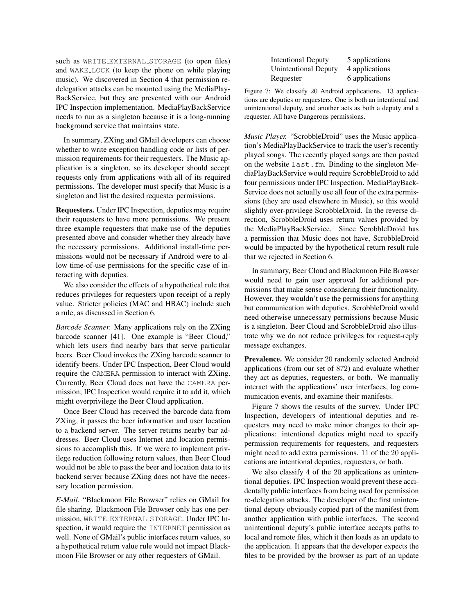such as WRITE EXTERNAL STORAGE (to open files) and WAKE LOCK (to keep the phone on while playing music). We discovered in Section 4 that permission redelegation attacks can be mounted using the MediaPlay-BackService, but they are prevented with our Android IPC Inspection implementation. MediaPlayBackService needs to run as a singleton because it is a long-running background service that maintains state.

In summary, ZXing and GMail developers can choose whether to write exception handling code or lists of permission requirements for their requesters. The Music application is a singleton, so its developer should accept requests only from applications with all of its required permissions. The developer must specify that Music is a singleton and list the desired requester permissions.

Requesters. Under IPC Inspection, deputies may require their requesters to have more permissions. We present three example requesters that make use of the deputies presented above and consider whether they already have the necessary permissions. Additional install-time permissions would not be necessary if Android were to allow time-of-use permissions for the specific case of interacting with deputies.

We also consider the effects of a hypothetical rule that reduces privileges for requesters upon receipt of a reply value. Stricter policies (MAC and HBAC) include such a rule, as discussed in Section 6.

*Barcode Scanner.* Many applications rely on the ZXing barcode scanner [41]. One example is "Beer Cloud," which lets users find nearby bars that serve particular beers. Beer Cloud invokes the ZXing barcode scanner to identify beers. Under IPC Inspection, Beer Cloud would require the CAMERA permission to interact with ZXing. Currently, Beer Cloud does not have the CAMERA permission; IPC Inspection would require it to add it, which might overprivilege the Beer Cloud application.

Once Beer Cloud has received the barcode data from ZXing, it passes the beer information and user location to a backend server. The server returns nearby bar addresses. Beer Cloud uses Internet and location permissions to accomplish this. If we were to implement privilege reduction following return values, then Beer Cloud would not be able to pass the beer and location data to its backend server because ZXing does not have the necessary location permission.

*E-Mail.* "Blackmoon File Browser" relies on GMail for file sharing. Blackmoon File Browser only has one permission, WRITE EXTERNAL STORAGE. Under IPC Inspection, it would require the INTERNET permission as well. None of GMail's public interfaces return values, so a hypothetical return value rule would not impact Blackmoon File Browser or any other requesters of GMail.

| <b>Intentional Deputy</b>   | 5 applications |
|-----------------------------|----------------|
| <b>Unintentional Deputy</b> | 4 applications |
| Requester                   | 6 applications |

Figure 7: We classify 20 Android applications. 13 applications are deputies or requesters. One is both an intentional and unintentional deputy, and another acts as both a deputy and a requester. All have Dangerous permissions.

*Music Player.* "ScrobbleDroid" uses the Music application's MediaPlayBackService to track the user's recently played songs. The recently played songs are then posted on the website last.fm. Binding to the singleton MediaPlayBackService would require ScrobbleDroid to add four permissions under IPC Inspection. MediaPlayBack-Service does not actually use all four of the extra permissions (they are used elsewhere in Music), so this would slightly over-privilege ScrobbleDroid. In the reverse direction, ScrobbleDroid uses return values provided by the MediaPlayBackService. Since ScrobbleDroid has a permission that Music does not have, ScrobbleDroid would be impacted by the hypothetical return result rule that we rejected in Section 6.

In summary, Beer Cloud and Blackmoon File Browser would need to gain user approval for additional permissions that make sense considering their functionality. However, they wouldn't use the permissions for anything but communication with deputies. ScrobbleDroid would need otherwise unnecessary permissions because Music is a singleton. Beer Cloud and ScrobbleDroid also illustrate why we do not reduce privileges for request-reply message exchanges.

Prevalence. We consider 20 randomly selected Android applications (from our set of 872) and evaluate whether they act as deputies, requesters, or both. We manually interact with the applications' user interfaces, log communication events, and examine their manifests.

Figure 7 shows the results of the survey. Under IPC Inspection, developers of intentional deputies and requesters may need to make minor changes to their applications: intentional deputies might need to specify permission requirements for requesters, and requesters might need to add extra permissions. 11 of the 20 applications are intentional deputies, requesters, or both.

We also classify 4 of the 20 applications as unintentional deputies. IPC Inspection would prevent these accidentally public interfaces from being used for permission re-delegation attacks. The developer of the first unintentional deputy obviously copied part of the manifest from another application with public interfaces. The second unintentional deputy's public interface accepts paths to local and remote files, which it then loads as an update to the application. It appears that the developer expects the files to be provided by the browser as part of an update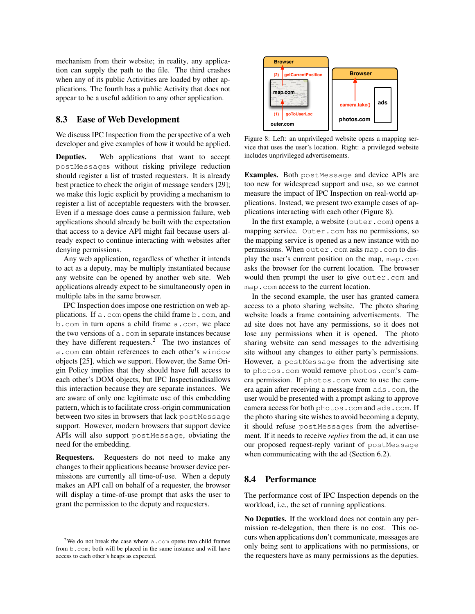mechanism from their website; in reality, any application can supply the path to the file. The third crashes when any of its public Activities are loaded by other applications. The fourth has a public Activity that does not appear to be a useful addition to any other application.

### 8.3 Ease of Web Development

We discuss IPC Inspection from the perspective of a web developer and give examples of how it would be applied.

Deputies. Web applications that want to accept postMessages without risking privilege reduction should register a list of trusted requesters. It is already best practice to check the origin of message senders [29]; we make this logic explicit by providing a mechanism to register a list of acceptable requesters with the browser. Even if a message does cause a permission failure, web applications should already be built with the expectation that access to a device API might fail because users already expect to continue interacting with websites after denying permissions.

Any web application, regardless of whether it intends to act as a deputy, may be multiply instantiated because any website can be opened by another web site. Web applications already expect to be simultaneously open in multiple tabs in the same browser.

IPC Inspection does impose one restriction on web applications. If a.com opens the child frame b.com, and b.com in turn opens a child frame a.com, we place the two versions of a.com in separate instances because they have different requesters.<sup>2</sup> The two instances of a.com can obtain references to each other's window objects [25], which we support. However, the Same Origin Policy implies that they should have full access to each other's DOM objects, but IPC Inspectiondisallows this interaction because they are separate instances. We are aware of only one legitimate use of this embedding pattern, which is to facilitate cross-origin communication between two sites in browsers that lack postMessage support. However, modern browsers that support device APIs will also support postMessage, obviating the need for the embedding.

Requesters. Requesters do not need to make any changes to their applications because browser device permissions are currently all time-of-use. When a deputy makes an API call on behalf of a requester, the browser will display a time-of-use prompt that asks the user to grant the permission to the deputy and requesters.



Figure 8: Left: an unprivileged website opens a mapping service that uses the user's location. Right: a privileged website includes unprivileged advertisements.

Examples. Both postMessage and device APIs are too new for widespread support and use, so we cannot measure the impact of IPC Inspection on real-world applications. Instead, we present two example cases of applications interacting with each other (Figure 8).

In the first example, a website (outer.com) opens a mapping service. Outer.com has no permissions, so the mapping service is opened as a new instance with no permissions. When outer.com asks map.com to display the user's current position on the map, map.com asks the browser for the current location. The browser would then prompt the user to give outer.com and map.com access to the current location.

In the second example, the user has granted camera access to a photo sharing website. The photo sharing website loads a frame containing advertisements. The ad site does not have any permissions, so it does not lose any permissions when it is opened. The photo sharing website can send messages to the advertising site without any changes to either party's permissions. However, a postMessage from the advertising site to photos.com would remove photos.com's camera permission. If photos.com were to use the camera again after receiving a message from ads.com, the user would be presented with a prompt asking to approve camera access for both photos.com and ads.com. If the photo sharing site wishes to avoid becoming a deputy, it should refuse postMessages from the advertisement. If it needs to receive *replies* from the ad, it can use our proposed request-reply variant of postMessage when communicating with the ad (Section 6.2).

### 8.4 Performance

The performance cost of IPC Inspection depends on the workload, i.e., the set of running applications.

No Deputies. If the workload does not contain any permission re-delegation, then there is no cost. This occurs when applications don't communicate, messages are only being sent to applications with no permissions, or the requesters have as many permissions as the deputies.

<sup>&</sup>lt;sup>2</sup>We do not break the case where a.com opens two child frames from b.com; both will be placed in the same instance and will have access to each other's heaps as expected.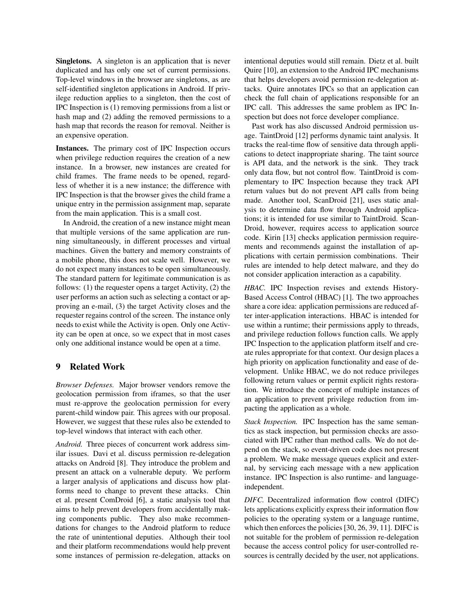Singletons. A singleton is an application that is never duplicated and has only one set of current permissions. Top-level windows in the browser are singletons, as are self-identified singleton applications in Android. If privilege reduction applies to a singleton, then the cost of IPC Inspection is (1) removing permissions from a list or hash map and (2) adding the removed permissions to a hash map that records the reason for removal. Neither is an expensive operation.

Instances. The primary cost of IPC Inspection occurs when privilege reduction requires the creation of a new instance. In a browser, new instances are created for child frames. The frame needs to be opened, regardless of whether it is a new instance; the difference with IPC Inspection is that the browser gives the child frame a unique entry in the permission assignment map, separate from the main application. This is a small cost.

In Android, the creation of a new instance might mean that multiple versions of the same application are running simultaneously, in different processes and virtual machines. Given the battery and memory constraints of a mobile phone, this does not scale well. However, we do not expect many instances to be open simultaneously. The standard pattern for legitimate communication is as follows: (1) the requester opens a target Activity, (2) the user performs an action such as selecting a contact or approving an e-mail, (3) the target Activity closes and the requester regains control of the screen. The instance only needs to exist while the Activity is open. Only one Activity can be open at once, so we expect that in most cases only one additional instance would be open at a time.

## 9 Related Work

*Browser Defenses.* Major browser vendors remove the geolocation permission from iframes, so that the user must re-approve the geolocation permission for every parent-child window pair. This agrees with our proposal. However, we suggest that these rules also be extended to top-level windows that interact with each other.

*Android.* Three pieces of concurrent work address similar issues. Davi et al. discuss permission re-delegation attacks on Android [8]. They introduce the problem and present an attack on a vulnerable deputy. We perform a larger analysis of applications and discuss how platforms need to change to prevent these attacks. Chin et al. present ComDroid [6], a static analysis tool that aims to help prevent developers from accidentally making components public. They also make recommendations for changes to the Android platform to reduce the rate of unintentional deputies. Although their tool and their platform recommendations would help prevent some instances of permission re-delegation, attacks on intentional deputies would still remain. Dietz et al. built Quire [10], an extension to the Android IPC mechanisms that helps developers avoid permission re-delegation attacks. Quire annotates IPCs so that an application can check the full chain of applications responsible for an IPC call. This addresses the same problem as IPC Inspection but does not force developer compliance.

Past work has also discussed Android permission usage. TaintDroid [12] performs dynamic taint analysis. It tracks the real-time flow of sensitive data through applications to detect inappropriate sharing. The taint source is API data, and the network is the sink. They track only data flow, but not control flow. TaintDroid is complementary to IPC Inspection because they track API return values but do not prevent API calls from being made. Another tool, ScanDroid [21], uses static analysis to determine data flow through Android applications; it is intended for use similar to TaintDroid. Scan-Droid, however, requires access to application source code. Kirin [13] checks application permission requirements and recommends against the installation of applications with certain permission combinations. Their rules are intended to help detect malware, and they do not consider application interaction as a capability.

*HBAC.* IPC Inspection revises and extends History-Based Access Control (HBAC) [1]. The two approaches share a core idea: application permissions are reduced after inter-application interactions. HBAC is intended for use within a runtime; their permissions apply to threads, and privilege reduction follows function calls. We apply IPC Inspection to the application platform itself and create rules appropriate for that context. Our design places a high priority on application functionality and ease of development. Unlike HBAC, we do not reduce privileges following return values or permit explicit rights restoration. We introduce the concept of multiple instances of an application to prevent privilege reduction from impacting the application as a whole.

*Stack Inspection.* IPC Inspection has the same semantics as stack inspection, but permission checks are associated with IPC rather than method calls. We do not depend on the stack, so event-driven code does not present a problem. We make message queues explicit and external, by servicing each message with a new application instance. IPC Inspection is also runtime- and languageindependent.

*DIFC.* Decentralized information flow control (DIFC) lets applications explicitly express their information flow policies to the operating system or a language runtime, which then enforces the policies [30, 26, 39, 11]. DIFC is not suitable for the problem of permission re-delegation because the access control policy for user-controlled resources is centrally decided by the user, not applications.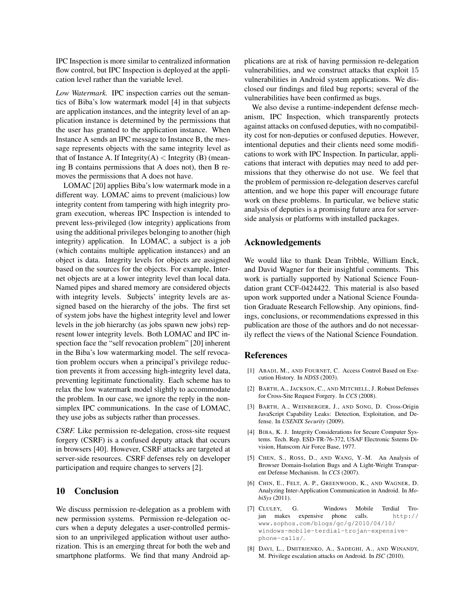IPC Inspection is more similar to centralized information flow control, but IPC Inspection is deployed at the application level rather than the variable level.

*Low Watermark.* IPC inspection carries out the semantics of Biba's low watermark model [4] in that subjects are application instances, and the integrity level of an application instance is determined by the permissions that the user has granted to the application instance. When Instance A sends an IPC message to Instance B, the message represents objects with the same integrity level as that of Instance A. If Integrity $(A)$  < Integrity  $(B)$  (meaning B contains permissions that A does not), then B removes the permissions that A does not have.

LOMAC [20] applies Biba's low watermark mode in a different way. LOMAC aims to prevent (malicious) low integrity content from tampering with high integrity program execution, whereas IPC Inspection is intended to prevent less-privileged (low integrity) applications from using the additional privileges belonging to another (high integrity) application. In LOMAC, a subject is a job (which contains multiple application instances) and an object is data. Integrity levels for objects are assigned based on the sources for the objects. For example, Internet objects are at a lower integrity level than local data. Named pipes and shared memory are considered objects with integrity levels. Subjects' integrity levels are assigned based on the hierarchy of the jobs. The first set of system jobs have the highest integrity level and lower levels in the job hierarchy (as jobs spawn new jobs) represent lower integrity levels. Both LOMAC and IPC inspection face the "self revocation problem" [20] inherent in the Biba's low watermarking model. The self revocation problem occurs when a principal's privilege reduction prevents it from accessing high-integrity level data, preventing legitimate functionality. Each scheme has to relax the low watermark model slightly to accommodate the problem. In our case, we ignore the reply in the nonsimplex IPC communications. In the case of LOMAC, they use jobs as subjects rather than processes.

*CSRF.* Like permission re-delegation, cross-site request forgery (CSRF) is a confused deputy attack that occurs in browsers [40]. However, CSRF attacks are targeted at server-side resources. CSRF defenses rely on developer participation and require changes to servers [2].

#### 10 Conclusion

We discuss permission re-delegation as a problem with new permission systems. Permission re-delegation occurs when a deputy delegates a user-controlled permission to an unprivileged application without user authorization. This is an emerging threat for both the web and smartphone platforms. We find that many Android applications are at risk of having permission re-delegation vulnerabilities, and we construct attacks that exploit 15 vulnerabilities in Android system applications. We disclosed our findings and filed bug reports; several of the vulnerabilities have been confirmed as bugs.

We also devise a runtime-independent defense mechanism, IPC Inspection, which transparently protects against attacks on confused deputies, with no compatibility cost for non-deputies or confused deputies. However, intentional deputies and their clients need some modifications to work with IPC Inspection. In particular, applications that interact with deputies may need to add permissions that they otherwise do not use. We feel that the problem of permission re-delegation deserves careful attention, and we hope this paper will encourage future work on these problems. In particular, we believe static analysis of deputies is a promising future area for serverside analysis or platforms with installed packages.

## Acknowledgements

We would like to thank Dean Tribble, William Enck, and David Wagner for their insightful comments. This work is partially supported by National Science Foundation grant CCF-0424422. This material is also based upon work supported under a National Science Foundation Graduate Research Fellowship. Any opinions, findings, conclusions, or recommendations expressed in this publication are those of the authors and do not necessarily reflect the views of the National Science Foundation.

#### References

- [1] ABADI, M., AND FOURNET, C. Access Control Based on Execution History. In *NDSS* (2003).
- [2] BARTH, A., JACKSON, C., AND MITCHELL, J. Robust Defenses for Cross-Site Request Forgery. In *CCS* (2008).
- [3] BARTH, A., WEINBERGER, J., AND SONG, D. Cross-Origin JavaScript Capability Leaks: Detection, Exploitation, and Defense. In *USENIX Security* (2009).
- [4] BIBA, K. J. Integrity Considerations for Secure Computer Systems. Tech. Rep. ESD-TR-76-372, USAF Electronic Sstems Division, Hanscom Air Force Base, 1977.
- [5] CHEN, S., ROSS, D., AND WANG, Y.-M. An Analysis of Browser Domain-Isolation Bugs and A Light-Weight Transparent Defense Mechanism. In *CCS* (2007).
- [6] CHIN, E., FELT, A. P., GREENWOOD, K., AND WAGNER, D. Analyzing Inter-Application Communication in Android. In *MobiSys* (2011).
- [7] CLULEY, G. Windows Mobile Terdial Trojan makes expensive phone calls. http:// www.sophos.com/blogs/gc/g/2010/04/10/ windows-mobile-terdial-trojan-expensivephone-calls/.
- [8] DAVI, L., DMITRIENKO, A., SADEGHI, A., AND WINANDY, M. Privilege escalation attacks on Android. In *ISC* (2010).